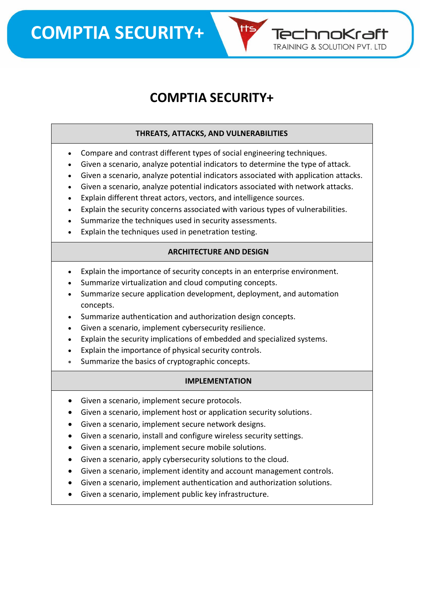**COMPTIA SECURITY+**

### **COMPTIA SECURITY+**

TechnoKraft **TRAINING & SOLUTION PVT. LTD** 

#### **THREATS, ATTACKS, AND VULNERABILITIES**

- Compare and contrast different types of social engineering techniques.
- Given a scenario, analyze potential indicators to determine the type of attack.
- Given a scenario, analyze potential indicators associated with application attacks.
- Given a scenario, analyze potential indicators associated with network attacks.
- Explain different threat actors, vectors, and intelligence sources.
- Explain the security concerns associated with various types of vulnerabilities.
- Summarize the techniques used in security assessments.
- Explain the techniques used in penetration testing.

#### **ARCHITECTURE AND DESIGN**

- Explain the importance of security concepts in an enterprise environment.
- Summarize virtualization and cloud computing concepts.
- Summarize secure application development, deployment, and automation concepts.
- Summarize authentication and authorization design concepts.
- Given a scenario, implement cybersecurity resilience.
- Explain the security implications of embedded and specialized systems.
- Explain the importance of physical security controls.
- Summarize the basics of cryptographic concepts.

#### **IMPLEMENTATION**

- Given a scenario, implement secure protocols.
- Given a scenario, implement host or application security solutions.
- Given a scenario, implement secure network designs.
- Given a scenario, install and configure wireless security settings.
- Given a scenario, implement secure mobile solutions.
- Given a scenario, apply cybersecurity solutions to the cloud.
- Given a scenario, implement identity and account management controls.
- Given a scenario, implement authentication and authorization solutions.
- Given a scenario, implement public key infrastructure.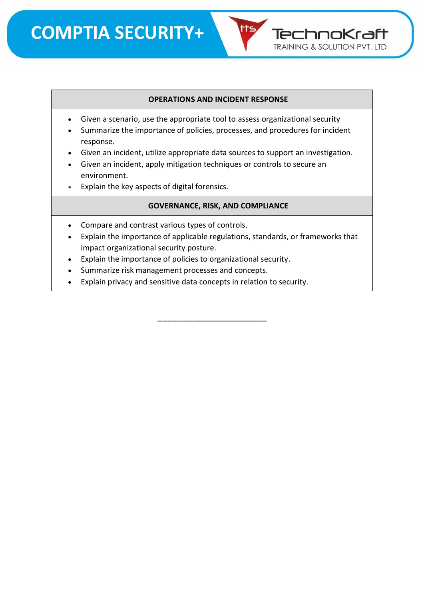#### **OPERATIONS AND INCIDENT RESPONSE**

TechnoKraft **TRAINING & SOLUTION PVT. LTD** 

- Given a scenario, use the appropriate tool to assess organizational security
- Summarize the importance of policies, processes, and procedures for incident response.
- Given an incident, utilize appropriate data sources to support an investigation.
- Given an incident, apply mitigation techniques or controls to secure an environment.
- Explain the key aspects of digital forensics.

#### **GOVERNANCE, RISK, AND COMPLIANCE**

- Compare and contrast various types of controls.
- Explain the importance of applicable regulations, standards, or frameworks that impact organizational security posture.

\_\_\_\_\_\_\_\_\_\_\_\_\_\_\_\_\_\_\_\_\_\_

- Explain the importance of policies to organizational security.
- Summarize risk management processes and concepts.
- Explain privacy and sensitive data concepts in relation to security.